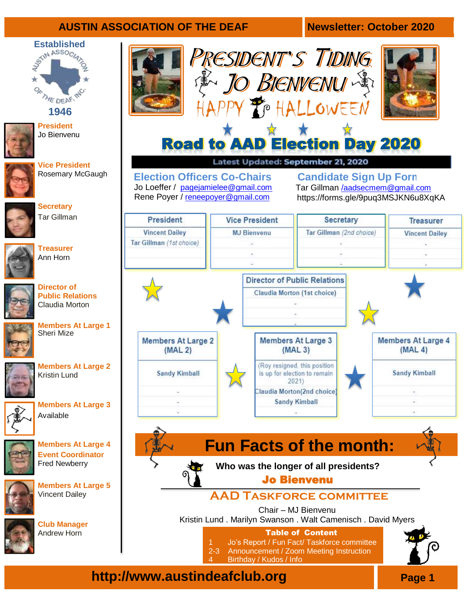### **AUSTIN ASSOCIATION OF THE DEAF Newsletter: October 2020**

# Established<br>
S<sup>SNN ASSOCI<sub>47</sub></sup> **THE DEAF-RAC**



**President** Jo Bienvenu

**Vice President** Rosemary McGaugh



**Secretary** Tar Gillman



**Treasurer**  Ann Horn



**Public Relations**  Claudia Morton



**Members At Large 1**  Sheri Mize



**Members At Large 2** Kristin Lund



**Members At Large 3** Available



**Members At Large 4 Event Coordinator** Fred Newberry



**Members At Large 5** Vincent Dailey



**Club Manager** Andrew Horn





## Road to AAD Election Day 2020

Latest Updated: September 21, 2020

**Election Officers Co-Chairs**  Jo Loeffer / [pagejamielee@gmail.com](mailto:pagejamielee@gmail.com) Rene Poyer / [reneepoyer@gmail.com](mailto:reneepoyer@gmail.com)

**Candidate Sign Up Form** Tar Gillman /[aadsecmem@gmail.com](mailto:/aadsecmem@gmail.com) https://forms.gle/9puq3MSJKN6u8XqKA



**http://www.austindeafclub.org Page 1** 

Birthday / Kudos / Info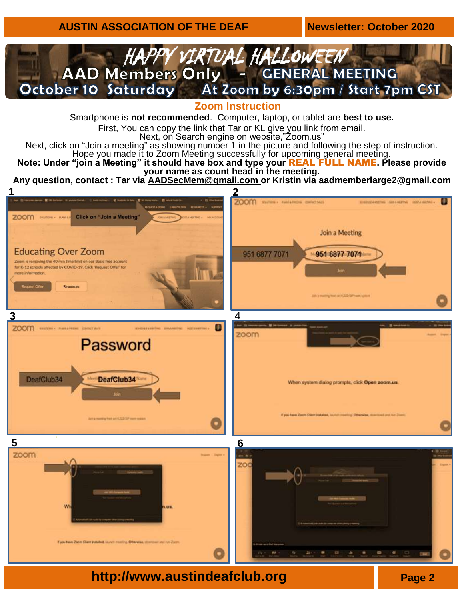

**Zoom Instruction**

Smartphone is **not recommended**. Computer, laptop, or tablet are **best to use.**

First, You can copy the link that Tar or KL give you link from email.

Next, on Search engine on website,"Zoom.us"

Next, click on "Join a meeting" as showing number 1 in the picture and following the step of instruction. Hope you made it to Zoom Meeting successfully for upcoming general meeting.

**Note: Under "join a Meeting" it should have box and type your** REAL FULL NAME**. Please provide your name as count head in the meeting.**

**Any question, contact : Tar via [AADSecMem@gmail.com](mailto:AADSecMem@gmail.com) or Kristin via aadmemberlarge2@gmail.com**

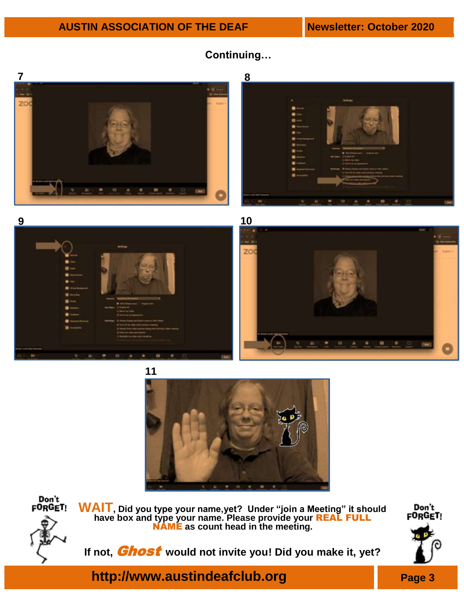

### **Continuing…**











**WAIT, Did you type your name,yet? Under "join a Meeting" it should have box and type your name. Please provide your** REAL FULL NAME **as count head in the meeting.**

If not, **Ghost** would not invite you! Did you make it, yet?



**http://www.austindeafclub.org Page 3**